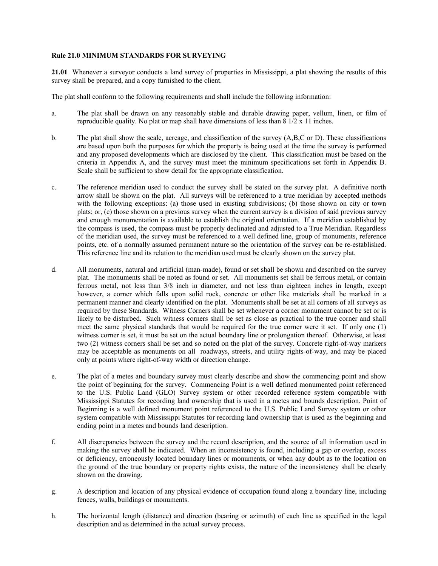## **Rule 21.0 MINIMUM STANDARDS FOR SURVEYING**

**21.01** Whenever a surveyor conducts a land survey of properties in Mississippi, a plat showing the results of this survey shall be prepared, and a copy furnished to the client.

The plat shall conform to the following requirements and shall include the following information:

- a. The plat shall be drawn on any reasonably stable and durable drawing paper, vellum, linen, or film of reproducible quality. No plat or map shall have dimensions of less than 8 1/2 x 11 inches.
- b. The plat shall show the scale, acreage, and classification of the survey (A,B,C or D). These classifications are based upon both the purposes for which the property is being used at the time the survey is performed and any proposed developments which are disclosed by the client. This classification must be based on the criteria in Appendix A, and the survey must meet the minimum specifications set forth in Appendix B. Scale shall be sufficient to show detail for the appropriate classification.
- c. The reference meridian used to conduct the survey shall be stated on the survey plat. A definitive north arrow shall be shown on the plat. All surveys will be referenced to a true meridian by accepted methods with the following exceptions: (a) those used in existing subdivisions; (b) those shown on city or town plats; or, (c) those shown on a previous survey when the current survey is a division of said previous survey and enough monumentation is available to establish the original orientation. If a meridian established by the compass is used, the compass must be properly declinated and adjusted to a True Meridian. Regardless of the meridian used, the survey must be referenced to a well defined line, group of monuments, reference points, etc. of a normally assumed permanent nature so the orientation of the survey can be re-established. This reference line and its relation to the meridian used must be clearly shown on the survey plat.
- d. All monuments, natural and artificial (man-made), found or set shall be shown and described on the survey plat. The monuments shall be noted as found or set. All monuments set shall be ferrous metal, or contain ferrous metal, not less than 3/8 inch in diameter, and not less than eighteen inches in length, except however, a corner which falls upon solid rock, concrete or other like materials shall be marked in a permanent manner and clearly identified on the plat. Monuments shall be set at all corners of all surveys as required by these Standards. Witness Corners shall be set whenever a corner monument cannot be set or is likely to be disturbed. Such witness corners shall be set as close as practical to the true corner and shall meet the same physical standards that would be required for the true corner were it set. If only one (1) witness corner is set, it must be set on the actual boundary line or prolongation thereof. Otherwise, at least two (2) witness corners shall be set and so noted on the plat of the survey. Concrete right-of-way markers may be acceptable as monuments on all roadways, streets, and utility rights-of-way, and may be placed only at points where right-of-way width or direction change.
- e. The plat of a metes and boundary survey must clearly describe and show the commencing point and show the point of beginning for the survey. Commencing Point is a well defined monumented point referenced to the U.S. Public Land (GLO) Survey system or other recorded reference system compatible with Mississippi Statutes for recording land ownership that is used in a metes and bounds description. Point of Beginning is a well defined monument point referenced to the U.S. Public Land Survey system or other system compatible with Mississippi Statutes for recording land ownership that is used as the beginning and ending point in a metes and bounds land description.
- f. All discrepancies between the survey and the record description, and the source of all information used in making the survey shall be indicated. When an inconsistency is found, including a gap or overlap, excess or deficiency, erroneously located boundary lines or monuments, or when any doubt as to the location on the ground of the true boundary or property rights exists, the nature of the inconsistency shall be clearly shown on the drawing.
- g. A description and location of any physical evidence of occupation found along a boundary line, including fences, walls, buildings or monuments.
- h. The horizontal length (distance) and direction (bearing or azimuth) of each line as specified in the legal description and as determined in the actual survey process.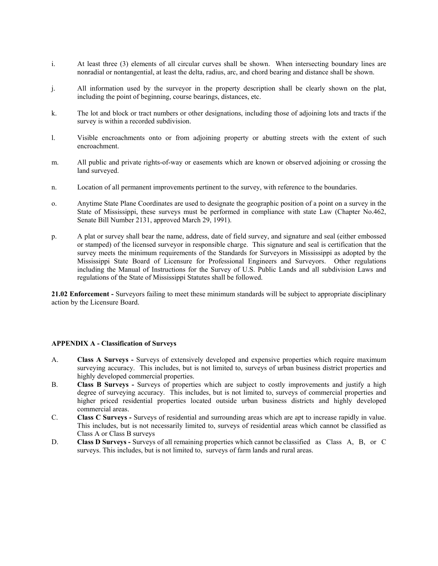- i. At least three (3) elements of all circular curves shall be shown. When intersecting boundary lines are nonradial or nontangential, at least the delta, radius, arc, and chord bearing and distance shall be shown.
- j. All information used by the surveyor in the property description shall be clearly shown on the plat, including the point of beginning, course bearings, distances, etc.
- k. The lot and block or tract numbers or other designations, including those of adjoining lots and tracts if the survey is within a recorded subdivision.
- l. Visible encroachments onto or from adjoining property or abutting streets with the extent of such encroachment.
- m. All public and private rights-of-way or easements which are known or observed adjoining or crossing the land surveyed.
- n. Location of all permanent improvements pertinent to the survey, with reference to the boundaries.
- o. Anytime State Plane Coordinates are used to designate the geographic position of a point on a survey in the State of Mississippi, these surveys must be performed in compliance with state Law (Chapter No.462, Senate Bill Number 2131, approved March 29, 1991).
- p. A plat or survey shall bear the name, address, date of field survey, and signature and seal (either embossed or stamped) of the licensed surveyor in responsible charge. This signature and seal is certification that the survey meets the minimum requirements of the Standards for Surveyors in Mississippi as adopted by the Mississippi State Board of Licensure for Professional Engineers and Surveyors. Other regulations including the Manual of Instructions for the Survey of U.S. Public Lands and all subdivision Laws and regulations of the State of Mississippi Statutes shall be followed.

**21.02 Enforcement -** Surveyors failing to meet these minimum standards will be subject to appropriate disciplinary action by the Licensure Board.

## **APPENDIX A - Classification of Surveys**

- A. **Class A Surveys -** Surveys of extensively developed and expensive properties which require maximum surveying accuracy. This includes, but is not limited to, surveys of urban business district properties and highly developed commercial properties.
- B. **Class B Surveys -** Surveys of properties which are subject to costly improvements and justify a high degree of surveying accuracy. This includes, but is not limited to, surveys of commercial properties and higher priced residential properties located outside urban business districts and highly developed commercial areas.
- C. **Class C Surveys -** Surveys of residential and surrounding areas which are apt to increase rapidly in value. This includes, but is not necessarily limited to, surveys of residential areas which cannot be classified as Class A or Class B surveys
- D. **Class D Surveys -** Surveys of all remaining properties which cannot be classified as Class A, B, or C surveys. This includes, but is not limited to, surveys of farm lands and rural areas.